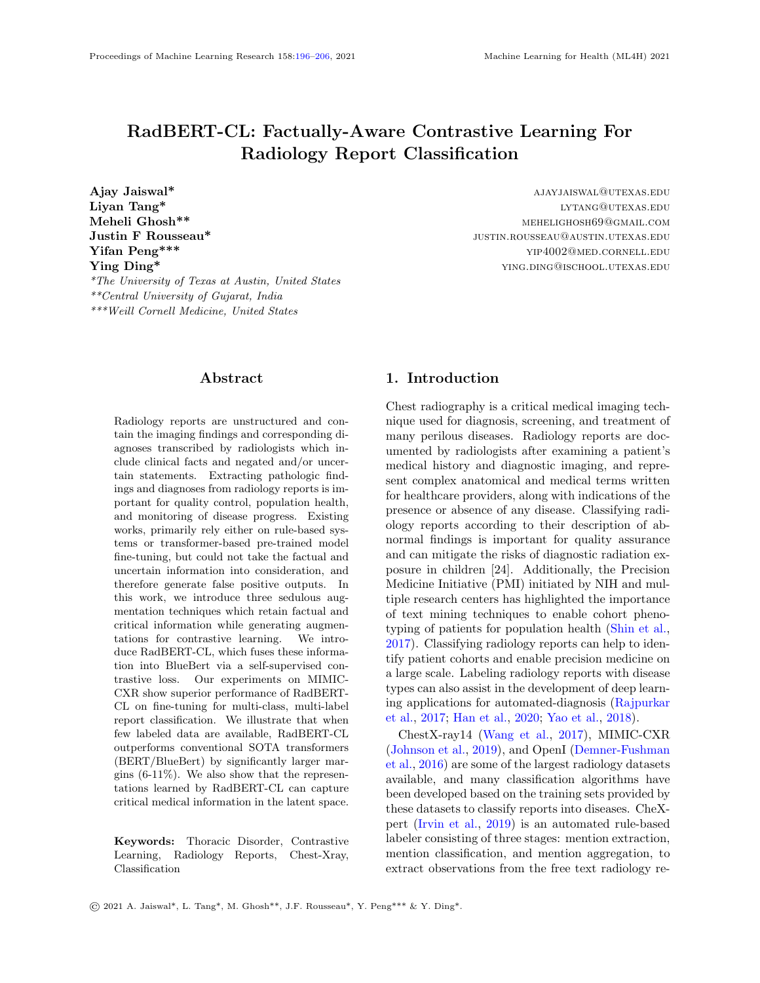# RadBERT-CL: Factually-Aware Contrastive Learning For Radiology Report Classification

Ajay Jaiswal\* and the settlement of the settlement of the settlement of the settlement of the settlement of the settlement of the settlement of the settlement of the settlement of the settlement of the settlement of the se Liyan Tang\* lytang@utexas.edu **Justin F Rousseau\* justin.F Rousseau justin.Rousseau de la propose** *justin.Rousseau* **@austin.utexas.edu Yifan Peng\*\*\*** yip4002@med.cornell.edu **Ying Ding\***  $\text{Ying Diag}^*$ \*The University of Texas at Austin, United States \*\*Central University of Gujarat, India \*\*\*Weill Cornell Medicine, United States

MEHELIGHOSH69@GMAIL.COM

# Abstract

<span id="page-0-0"></span>Radiology reports are unstructured and contain the imaging findings and corresponding diagnoses transcribed by radiologists which include clinical facts and negated and/or uncertain statements. Extracting pathologic findings and diagnoses from radiology reports is important for quality control, population health, and monitoring of disease progress. Existing works, primarily rely either on rule-based systems or transformer-based pre-trained model fine-tuning, but could not take the factual and uncertain information into consideration, and therefore generate false positive outputs. In this work, we introduce three sedulous augmentation techniques which retain factual and critical information while generating augmentations for contrastive learning. We introduce RadBERT-CL, which fuses these information into BlueBert via a self-supervised contrastive loss. Our experiments on MIMIC-CXR show superior performance of RadBERT-CL on fine-tuning for multi-class, multi-label report classification. We illustrate that when few labeled data are available, RadBERT-CL outperforms conventional SOTA transformers (BERT/BlueBert) by significantly larger margins (6-11%). We also show that the representations learned by RadBERT-CL can capture critical medical information in the latent space.

Keywords: Thoracic Disorder, Contrastive Learning, Radiology Reports, Chest-Xray, Classification

# 1. Introduction

Chest radiography is a critical medical imaging technique used for diagnosis, screening, and treatment of many perilous diseases. Radiology reports are documented by radiologists after examining a patient's medical history and diagnostic imaging, and represent complex anatomical and medical terms written for healthcare providers, along with indications of the presence or absence of any disease. Classifying radiology reports according to their description of abnormal findings is important for quality assurance and can mitigate the risks of diagnostic radiation exposure in children [24]. Additionally, the Precision Medicine Initiative (PMI) initiated by NIH and multiple research centers has highlighted the importance of text mining techniques to enable cohort phenotyping of patients for population health [\(Shin et al.,](#page-10-1) [2017\)](#page-10-1). Classifying radiology reports can help to identify patient cohorts and enable precision medicine on a large scale. Labeling radiology reports with disease types can also assist in the development of deep learning applications for automated-diagnosis [\(Rajpurkar](#page-10-2) [et al.,](#page-10-2) [2017;](#page-10-2) [Han et al.,](#page-9-0) [2020;](#page-9-0) [Yao et al.,](#page-10-3) [2018\)](#page-10-3).

ChestX-ray14 [\(Wang et al.,](#page-10-4) [2017\)](#page-10-4), MIMIC-CXR [\(Johnson et al.,](#page-9-1) [2019\)](#page-9-1), and OpenI [\(Demner-Fushman](#page-9-2) [et al.,](#page-9-2) [2016\)](#page-9-2) are some of the largest radiology datasets available, and many classification algorithms have been developed based on the training sets provided by these datasets to classify reports into diseases. CheXpert [\(Irvin et al.,](#page-9-3) [2019\)](#page-9-3) is an automated rule-based labeler consisting of three stages: mention extraction, mention classification, and mention aggregation, to extract observations from the free text radiology re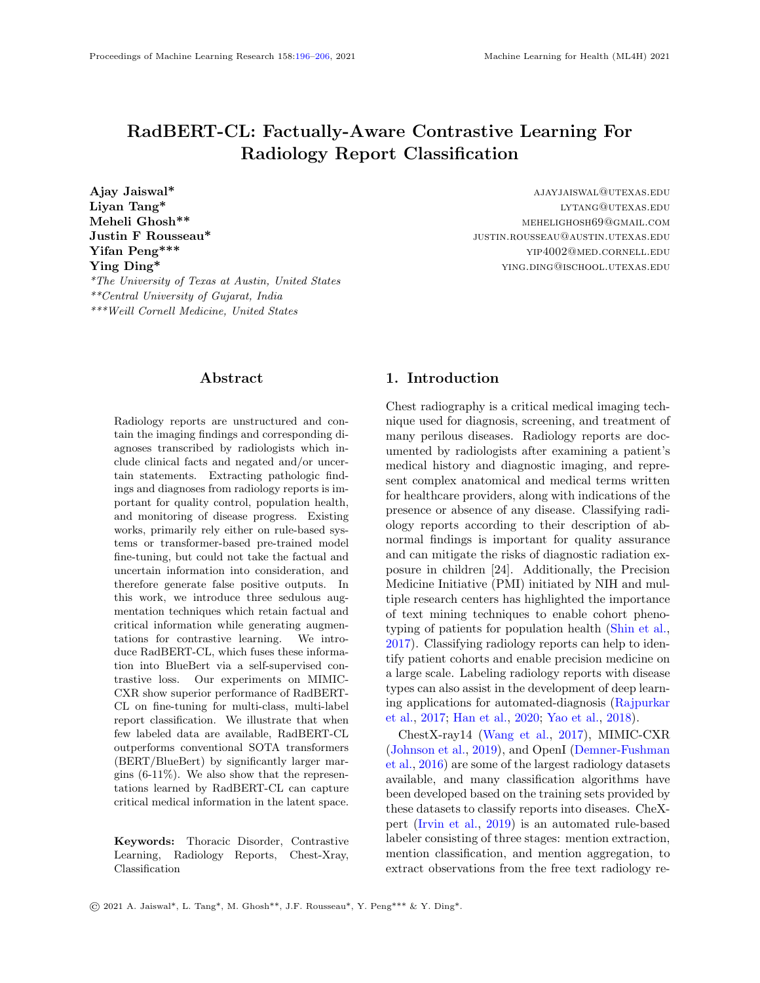ports to be used as structured labels for the images. CheXBert [\(Smit et al.,](#page-10-5) [2020\)](#page-10-5) uses the labels extracted by CheXpert to fine-tune BERT transformer along with  $\sim$  1000 manually annotated reports to classify radiology reports. While these methods have shown great advancements, they cannot capture many critical and factual information (especially negated statements). Negated statements in a radiology report can lead to false positive classifications and therefore should be treated with caution. Also negated statements provide rich information that should be captured and integrated into the classification algorithms.

Motivated by the success of contrastive learning in computer vision [\(Chen et al.,](#page-9-4) [2020a;](#page-9-4) [He et al.,](#page-9-5) [2020;](#page-9-5) [Chen et al.,](#page-9-6) [2020b;](#page-9-6) [Grill et al.,](#page-9-7) [2020;](#page-9-7) [Robinson et al.,](#page-10-6) [2020\)](#page-10-6) to improve on the learning of feature representation in latent space, we propose to pre-train transformers using contrastive learning before the end-toend fine-tuning for classification of radiology reports. Medical reports contain many critical and factual information such as the presence/absence of a disease (see Table [1](#page-2-0) for more details). This information is central for making a classification decision, and many other downstream tasks such as Report Generation [\(Zhang et al.,](#page-10-7) [2020a\)](#page-10-7), Report Summarization [\(Zhang](#page-10-8) [et al.,](#page-10-8) [2020c\)](#page-10-8), etc. Most existing approaches do not handle uncertainty/negation information explicitly, and depend on the deep learning models to capture them. We identified that the SOTA transformers such as Bert [\(Devlin et al.,](#page-9-8) [2019\)](#page-9-8), BlueBert [\(Peng](#page-9-9) [et al.,](#page-9-9) [2019\)](#page-9-9), do not perform well at capturing uncertainity/negation information in latent space. Considering the significance of these critical information for both interpretability and performance improvement of deep learning models, we introduce RadBERT-CL, a pre-trained model using contrastive learning which can capture critical medical and factual nuances of radiology reports. It trains BlueBert [\(Peng et al.,](#page-9-9) [2019\)](#page-9-9) with the radiology report dataset and captures its fine-grained properties, in order to improve performance of report classification task at the fine-tuning stage. We introduce three novel data augmentation techniques at the sentence and document level, which can retain the critical medical concepts and factual information present in radiology reports while generating positive and negative pairs for contrastive learning.

RadBERT-CL outperforms the previous best reported CheXbert labeler [\(Smit et al.,](#page-10-5) [2020\)](#page-10-5) with 0.5% improvement on F1-score without any need for hight quality manual annotation during training (note that the baseline [\(Smit et al.,](#page-10-5) [2020\)](#page-10-5) has claimed their results very close to human-level performance). We evaluated our system using 687 expert-annotated reports, same as CheXbert [\(Smit et al.,](#page-10-5) [2020\)](#page-10-5). We find that representations learned by RadBERT-CL are more informative, can capture and distinguish critical information present in the radiology reports. The improvements on F1-measure are more significant if few manually annotated data are available. This is particularly important since obtaining manually annotated data in medicine is extremely difficult and costly. In this case, our algorithm can achieve 6-11% improvements on disease classification. The highlights of our contributions are:

- We propose two novel data augmentation techniques which retain factual and critical medical concepts, identified by our semi-rule based Info-Preservation Module, while generating positive and negative keys for contrastive learning.
- We show that our model RadBERT-CL is able to learn and distinguish fine-grained medical concepts in latent space, which cannot be captured by SOTA pre-trained models like BERT, and BlueBert.
- We apply contrastive learning for radiology report classification task and show improvements on the state-of-the-art methods. We use weaklylabeled data during our training and evaluate our system using 687 high-quality reports manually labelled by radiologists.
- Lastly, we evaluate our model performance when a few data labels are available for training and show that our model outperforms significantly by 6-11% improvements in disease classification task.

# 2. Related Work

Contrastive Learning: Contrastive learning (CL) seeks to learn effective representations by maximizing the agreement between two augmentations from one example and minimizing the agreement of augmentations from different instances. CL has been recently explored in computer vision and graph Neural Network due to its success in self-supervised representation learning. However, CL still receives limited interest in the NLP domain. The main reason is the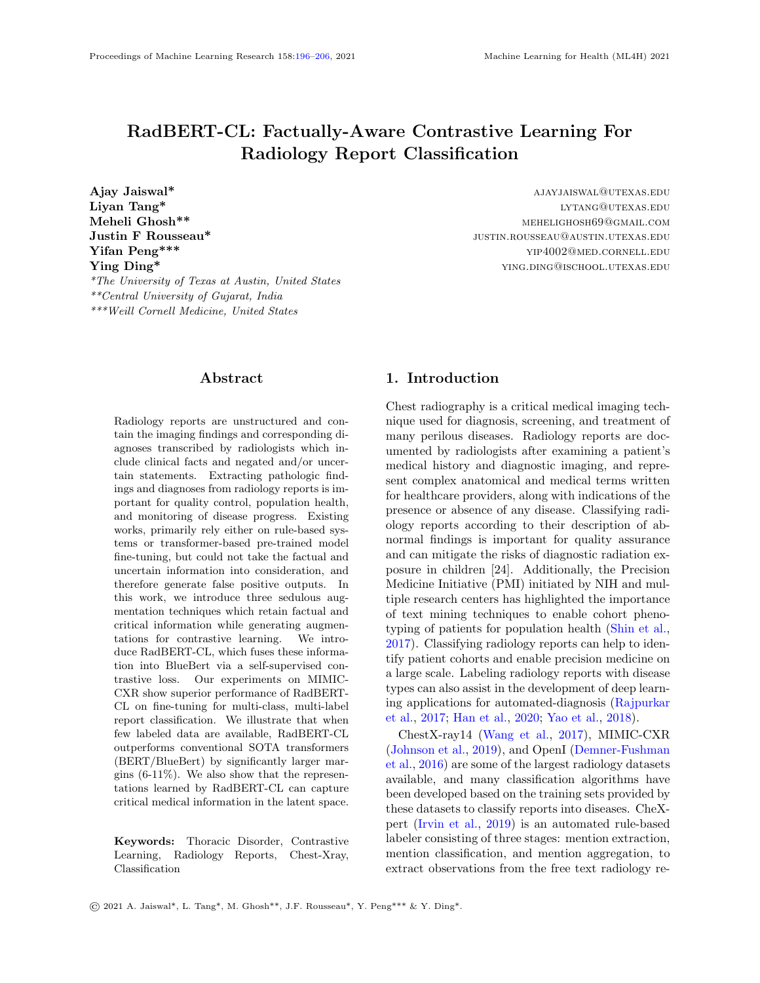<span id="page-2-0"></span>Table 1: Examples from the set of rules in our Info-Preservation Module for Negation and Uncertainty Detection and their corresponding matching sentences.

BACKGROUND: Radiographic examination of the chest. clinical history: 80 years of age, male. PA AND LATERAL CHEST,

FINDINGS: Heart size and mediastinal contours are normal. The right hilum is asymmetrically enlarged compared to the left hilum but has a similar size and configuration compared to a baseline radiograph  $\ldots$ A chest CT performed in  $\ldots$  demonstrated no evidence of a right hilum mass, and the observed asymmetry is probably due to a combination of a slight rotation related to mild scoliosis and a prominent pulmonary vascularity.

Lungs are slightly hyperexpanded but grossly clear of pleural effusions.

IMPRESSION: No radiographic evidence of pneumonia.

| Table 2: Explanation of class value predicted by<br>RadBERT-CL for disease observations |                                                                                                                                  |  |  |  |
|-----------------------------------------------------------------------------------------|----------------------------------------------------------------------------------------------------------------------------------|--|--|--|
| <b>Blank</b>                                                                            | observation not mentioned in the report                                                                                          |  |  |  |
| Positive                                                                                | observation mentioned and its presence<br>is confirmed<br>eg. definite focal consolidation is seen<br>in lungs                   |  |  |  |
|                                                                                         | <b>Negation</b> observation mentioned and its absence<br>is confirmed<br>eg. the lungs are clear of any focal con-<br>solidation |  |  |  |
|                                                                                         | <b>Uncertain</b> observation mentioned with<br>uncer-<br>tainty<br>eg. signs of parenchymal changes sug-<br>gesting pneumonia    |  |  |  |

discrete nature of text and it is hard to define and construct effective positive pairs. Several works have explored ways to perform augmentations. [\(Fang and](#page-9-10) [Xie,](#page-9-10) [2020\)](#page-9-10) back-translated source sentences to create sentence-level positive augmentations, which maintain semantic meaning of the source sentence. [\(Wu](#page-10-9) [et al.,](#page-10-9) [2020a\)](#page-10-9) integrated four sentence-level augmentation techniques, namely word and span deletion, reordering and synonym substitution, to increase models' robustness.

Factual Correctness and Consistency: Factual correctness and factual consistency are key requirements for medical reports. Keeping factual information and avoiding hallucinations could support medical decision-making process. These requirements have been recently explored in NLP tasks, especially in abstractive text summarization. [\(Zhang et al.,](#page-10-10) [2020b\)](#page-10-10) directly took factual correctness as a training objective in their system via reinforcement learning. On the other hand, [\(Falke et al.,](#page-9-11) [2019\)](#page-9-11) and, [\(Goyal](#page-9-12) [and Durrett,](#page-9-12) [2020\)](#page-9-12) used textual entailment to detect factual inconsistency based on the assumption that summary should be entailed by the source document. [\(Zhu et al.,](#page-10-11) [2021\)](#page-10-11) built a knowledge graph containing all the facts in the text, and then fused it into the summarization process.

# 3. Methods

# 3.1. Problem Formulation

Radiology report classification is a multi-class multilabel classification problem, which classifies radiology reports into different disease observations (e.g., cardiomegaly, effusion, mass, edema). Following [\(Smit](#page-10-5) [et al.,](#page-10-5) [2020\)](#page-10-5), we label each report  $r^k$  in MIMIC-CXR dataset with a 14-dim vector  $y = [y_1, y_2, y_3, ..., y_{14}]$ of observations, where observations  $y_1 - y_{13}$  can take any value from the following 4 classes : blank, positive, negative, and uncertain. For  $y_{14}$ , which corresponds to No Finding (no pathology is found in the scope of any of 13 disease observations), the classifier takes value from only 2 classes: blank, and uncertain.

## <span id="page-2-1"></span>3.2. Data Augmentation

In computer vision, it has been verified that contrastive learning benefits from strong data augmenta-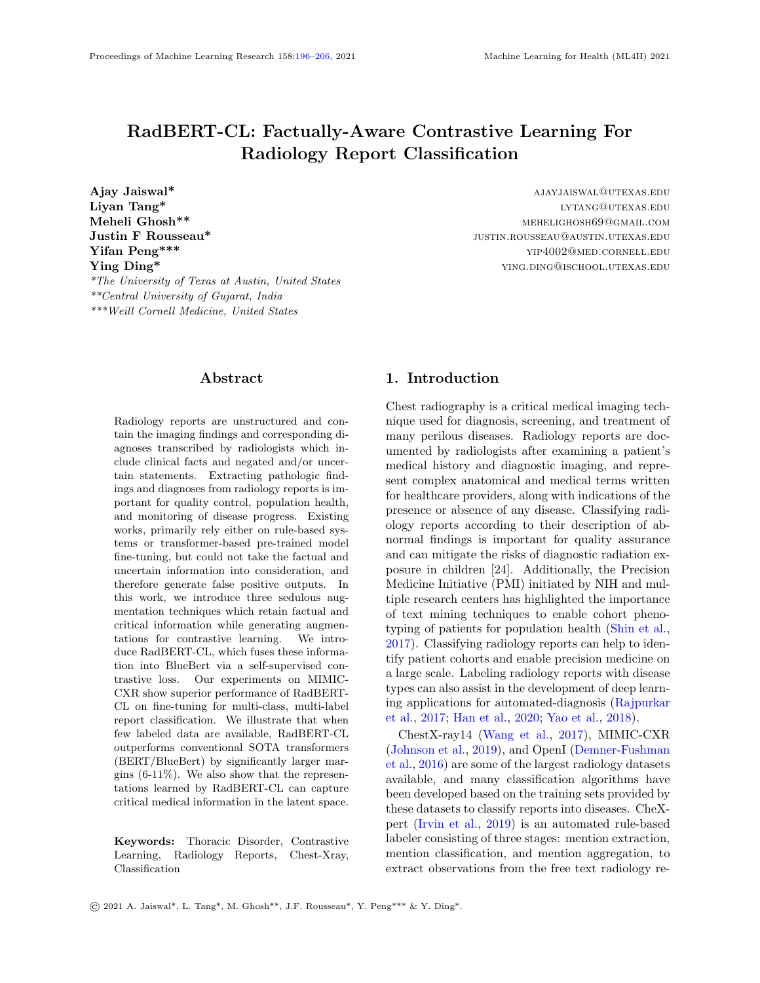## RadBERT-CL

<span id="page-3-0"></span>Figure 1: (a) Pre-training architecure of RadBERT-CL using contrastive learning. Two separate data augmentation views are generated using the augmentation techniques described in Section [3.2.](#page-2-1) Both views (query and key) are passed through RadBERT-CL, which is a transformer-based encoder  $f(.)$ , and a projection head  $g(.)$ . RadBERT-CL is trained to maximize agreement between the two augmented views using contrastive loss. (b) Fine-tuning Model architecture of RadBERT-CL. The model consists of 14 linear heads corresponding to 14 disease concepts. Among them, 13 linear heads can predict 4 outputs, while linear head corresponding to "No Finding" can predict 2 outputs.



tion techniques like random cropping, rotation, blurring, color distortion, etc. However, in NLP, generating data augmentation is comparatively difficult due to the discrete representation of words, and it is unknown what kind of augmentation will benefit noiseinvariant representational learning. [\(Fang et al.,](#page-9-13) [2020\)](#page-9-13) used back-translation to perform sentence augmentation while [\(Wu et al.,](#page-10-12) [2020b\)](#page-10-12) explored four different basic augmentation techniques: word and span deletion, reordering, and substitution. While these methods have shown improvements on some SentEval and GLUE benchmarks, they cannot be directly applied to generating augmentations for radiology reports. Radiology reports contain critical and factual information and that need to be preserved while generate augmentations. Table [1](#page-2-0) presents an example of radiology report in which we have highlighted the information such as chest, left hilum, pulmonary vascularity, clear of, no evidence, pneumonia, etc.

Through augmentation, it is likely that [\(Wu et al.,](#page-10-12) [2020b\)](#page-10-12) dropped critical words or phrases which can lead to a completely different diagnosis. For example, dropping negation words, such as No, can lead to a diagnosis suggesting the presence of pleural effusion, and it can have negative consequences during our downstream task of disease classification. Also, as suggested by [\(Fang et al.,](#page-9-13) [2020\)](#page-9-13), back-translation cannot provide satisfactory results for the medical data because back-translation models have limited the cross-language translation ability for domain specific texts.

In order to ensure that critical and factual information is preserved while generating augmentations, we define an *Info-Preservation* module, which identifies and preserves facts during augmentation generation. We propose sentence-level and document-level augmentation techniques, to effectively pre-train our RadBERT-CL architecture.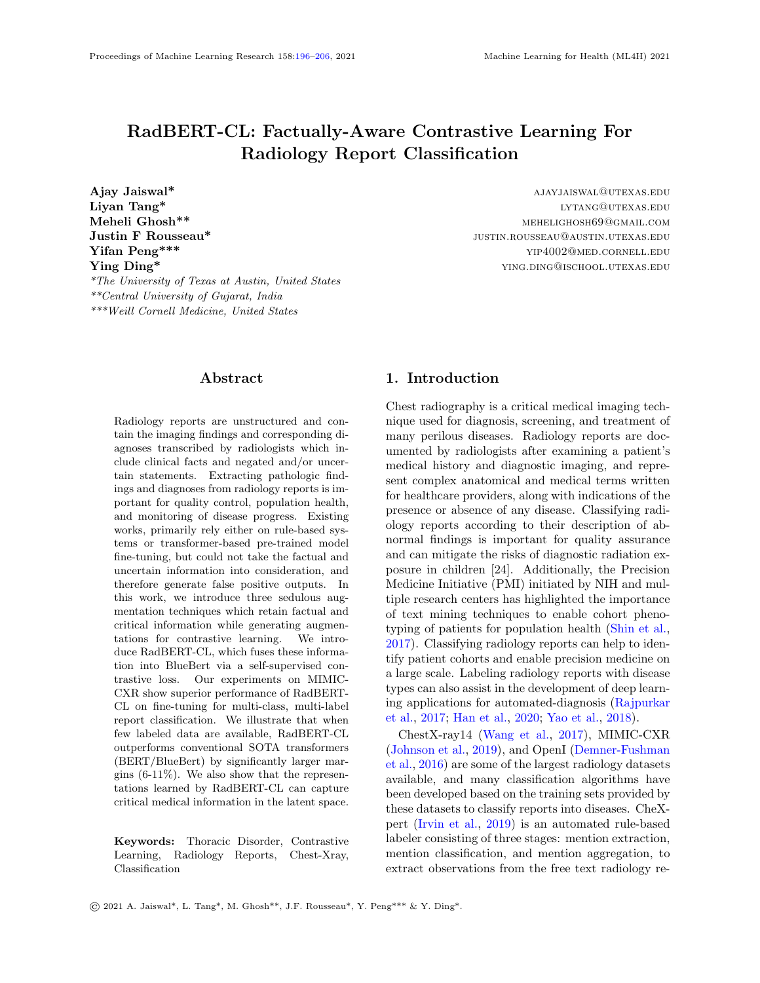<span id="page-4-0"></span>Table 3: Examples highlighting the selection of positive and negative keys for a given anchor sentence using two different approaches for Sentence-Level Contrastive Learning. For Disease-based Augmentation, a given anchor sentence with disease concept d, any other sentence from any report mentioning d can be taken as positive example. In Disease  $+$  Factuality Based Augmentation, we incorporate mentions from our negation or uncertainty dictionary along with disease concept while generating augmentation pairs.

| a. Disease-based augmentation                                                                                           |  |  |  |
|-------------------------------------------------------------------------------------------------------------------------|--|--|--|
| $An chor/Query:$ definite focal consolidation is seen in left side of lungs                                             |  |  |  |
| <i>Positive Key</i> : there is a <u>focal consolidation</u> at the left lung base adjacent to the lateral hemidiaphragm |  |  |  |
| <i>Negative Key</i> : there are low lung volumes and mild bibasilar at electasis                                        |  |  |  |
| b. Disease $+$ Factuality based augmentation                                                                            |  |  |  |
| $Anchor/Query:$ definite focal consolidation is seen in left side of lungs                                              |  |  |  |
| <i>Positive Key</i> : there is a <u>focal consolidation</u> at the left lung base adjacent to the lateral hemidiaphragm |  |  |  |
| <i>Negative Key</i> : the lungs are clear of any focal consolidation                                                    |  |  |  |

#### 3.2.1. Info-Preservation Module

Radiology reports consist of many important radiology concepts such as diseases, body parts, etc. In order to preserve them during augmentation, we develop a rule-based tool similar to Dynamic-LCS [\(Raj](#page-9-14) [et al.,](#page-9-14) [2020\)](#page-9-14) to greedily match concepts in RadLex ontology [\(Langlotz,](#page-9-15) [2006\)](#page-9-15) on sequences of the lemmatized tokens in the reports (longer matches are returned when possible). For capturing the presence of negation of any concept, we manually create a dictionary of 30 negation indicator keywords such as: not, without, clear of, ruled out, free of, disappearance of, without evidence of, no evidence of, absent, miss. Following [\(Chen et al.,](#page-9-16) [2018\)](#page-9-16), we create a dictionary of uncertainty keywords with a wide range of uncertain types, from speculations to inconsistencies present in the reports. We design a set of pattern matching rules following [\(Wang et al.,](#page-10-4) [2017\)](#page-10-4) for identifying sentences containing negation or uncertainty. Appendix Table [10](#page-12-0) presents some examples of our rules and the matched sentences from the radiology reports. While generating augmentations, we make sure that any identified radiology concept or word from our negation and uncertainty list is not dropped.

#### 3.2.2. Sentence-Level Augmentation

Sentence-level augmentations are generated by first splitting radiology reports into sentences and then applying random word and phrase dropping [\(Wu](#page-10-12) [et al.,](#page-10-12) [2020b\)](#page-10-12), while preserving critical and factual information identified in Info - Preservation module.

## Algorithm 1: Patient-based Doc-Level CL

<span id="page-4-1"></span>Input: RadBERT-CL initialized with BlueBert-uncased Output: RadBERT-CL pre-trained using CL Data: Preprocessed radiology reports of patients. Initialize the weights of projection head  $g(.)$ for each epoch do while not converged do Sample a mini-batch of training patients  $P \in P_{all}$ For each  $p \in P$ , randomly sample two reports  $(query, key^+)$  belonging to same patient For each  $p \in P$ , randomly sample k reports (key−) of patients other than p Encode  $query, key^+,$  and k- $key^-$  with  $f(.)$  and  $g(.)$ Compute loss:  $L_{contrastive}$ Compute gradient of loss function  $\nabla L_{contrastive}$  and update  $f(.)$  and  $g(.)$ end end

Return Pre-trained RadBERT-CL

We propose two different augmentation techniques by associating each sentence with a disease concept from Radlex and a boolean variable indicating presence/absence of any negation or uncertainty phrase. Sentences without any mention of disease concepts are discarded.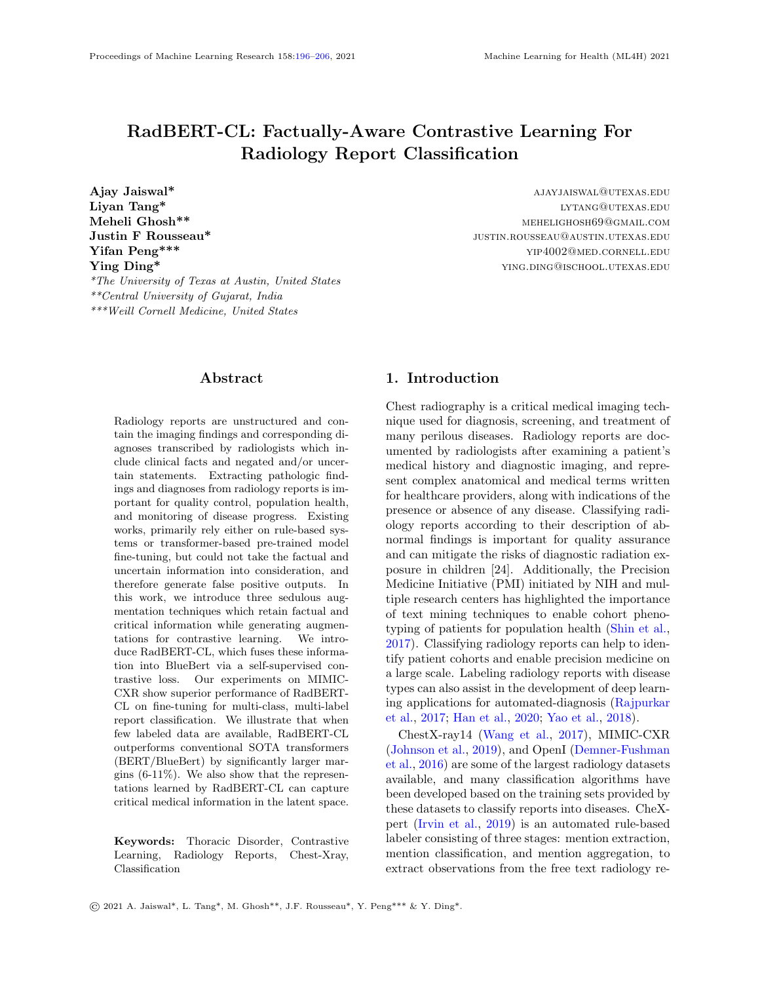- Disease-based augmentation: In this technique, we discard all sentences which consist of any mention from our negation or uncertainty dictionary. For a given anchor sentence with disease concept d, any other sentence from any report mentioning d can be taken as positive example. Negative samples can be sentences which mention any disease concept except d. Refer Table [3](#page-4-0) for the example.
- Disease + Factuality based augmentation: In this technique, we consider any mention from our negation or uncertainty dictionary along with disease concept while generating augmentation pairs. For a given anchor sentence with disease concept d and negation or uncertainty present, any other sentence from any report mentioning d and negation or uncertainty present can be taken as positive example. Negative samples can be sentences which mention same disease d, but negation or uncertainty absent. Refer Table [3](#page-4-0) for the example.

Algorithm 2: Disease-based Sentence-Level CL Input: RadBERT-CL initialized with BlueBert-uncased Output: RadBERT-CL pre-trained using CL Data: Preprocessed radiology reports at sentence level: (sentence, disease-mention) Initialize the weights of projection head  $g(.)$ for each epoch do while not converged do Sample a mini-batch of training sentences  $S \in S_{all}$ For each  $s \in S$ , randomly sample another sentence  $(key^+)$  with same disease mention For each  $s \in S$ , randomly sample k sentences (key−) having disease mention other than s Encode  $query, key^+,$  and k- $key^-$  with  $f(.)$  and  $g(.)$ Compute loss:  $L_{contrastive}$ Compute gradient of loss function  $\nabla L_{contrastive}$  and update  $f(.)$  and  $g(.)$ end end Return Pre-trained RadBERT-CL

| Algorithm<br>3:<br>Disease+Factuality-based           |  |  |  |  |
|-------------------------------------------------------|--|--|--|--|
| Sentence-Level CL                                     |  |  |  |  |
| Input: RadBERT-CL initialized with                    |  |  |  |  |
| BlueBert-uncased                                      |  |  |  |  |
| <b>Output:</b> RadBERT-CL pre-trained using CL        |  |  |  |  |
| <b>Data:</b> Preprocessed radiology reports at        |  |  |  |  |
| sentence level: (sentence,                            |  |  |  |  |
| disease-mention, factuality-mention)                  |  |  |  |  |
| Initialize the weights of projection head $g(.)$      |  |  |  |  |
| for each epoch $\bf{do}$                              |  |  |  |  |
| while not converged do                                |  |  |  |  |
| Sample a mini-batch of training sentences             |  |  |  |  |
| $S \in S_{all}$                                       |  |  |  |  |
| For each $s \in S$ , randomly sample another          |  |  |  |  |
| sentence $(key^+)$ with same disease and              |  |  |  |  |
| factuality mention                                    |  |  |  |  |
| For each $s \in S$ , randomly sample k                |  |  |  |  |
| sentences $(key_+)$ having disease and                |  |  |  |  |
| factuality mention other than $s$                     |  |  |  |  |
| Encode query, $key^+$ , and k- $key^-$ with           |  |  |  |  |
| $f(.)$ and $g(.)$                                     |  |  |  |  |
| Compute loss: $L_{contrastive}$                       |  |  |  |  |
| Compute gradient of loss function                     |  |  |  |  |
| $\nabla L_{contrastive}$ and update $f(.)$ and $g(.)$ |  |  |  |  |
| $\hspace{15pt}\mathrm{end}$                           |  |  |  |  |
| end                                                   |  |  |  |  |
| Return Pre-trained RadBERT-CL                         |  |  |  |  |

# <span id="page-5-1"></span>3.2.3. Document-Level Augmentation

Document-level augmentations are generated at the report-level, where each report is first pre-processed with removing extra spaces, newlines, and unwanted tokens. For a given report  $r^k$ , we apply four types of augmentations (word deletion, span deletion, sentence reordering, and synonym substitution with probability 0.2) mentioned in [\(Wu et al.,](#page-10-12) [2020b\)](#page-10-12) while preserving critical and factual information identified in Info-Preservation module, to generate positive key. Negative keys can be any report not from the same patient.

# 3.3. Model Architecture

<span id="page-5-0"></span>Our proposed model RadBERT-CL is a two-staged training process: pre-training and fine-tuning (Figure  $1(a)$  $1(a)$  and (b)). For pre-training, we follow Sim-CLR [\(Chen et al.,](#page-9-4) [2020a\)](#page-9-4) framework closely, and use BlueBert architecture as the encoder. Radiology reports are processed by Info-Preservation module and augmentations are generated using techniques pro-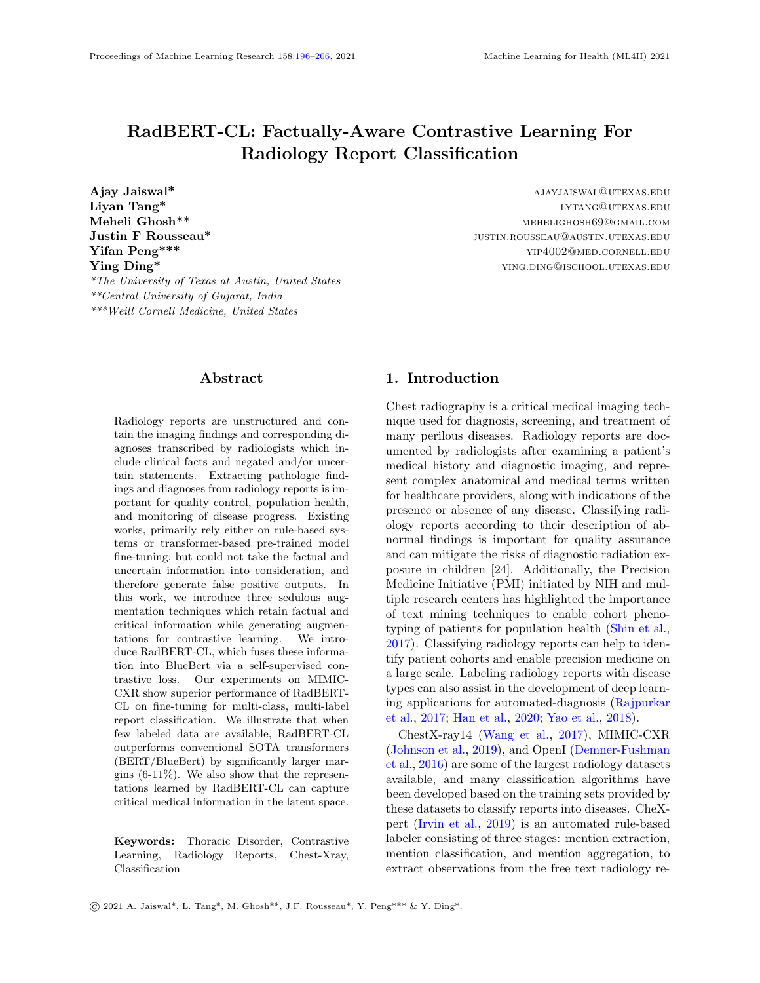# RadBERT-CL

<span id="page-6-0"></span>Table 4: The weighted F1 scores for fine-tuned RadBERT-CL variants using Model architecture in Figure [1](#page-3-0) (a) and (b). We compare RadBERT-CL variants with SOTA models for reports classification CheXpert [\(Irvin et al.,](#page-9-3) [2019\)](#page-9-3), and CheXbert [\(Smit et al.,](#page-10-5) [2020\)](#page-10-5) trained on MIMIC-CXR. Reported F1-scores are calculated on the test set of 687 manually labelled reports, similar to [\(Smit et al.,](#page-10-5) [2020\)](#page-10-5). Note that our method does not require any expensive labeled reports during training. Our contrastive pre-training helps RadBERT-CL to outperform the baselines.

| Category          | $\overline{\text{CheX} }\text{pert}$ | Previous SOTA | Algorithm 1 | Algorithm 2 | Algorithm 3 |
|-------------------|--------------------------------------|---------------|-------------|-------------|-------------|
|                   |                                      | CheXbert      | RadBERT-CL  | RadBERT-CL  | RadBERT-CL  |
| Enlarged Cardiom. | 0.613                                | 0.713         | 0.692       | 0.717       | 0.690       |
| Cardiomegaly      | 0.764                                | 0.815         | 0.808       | 0.806       | 0.817       |
| Lung Opacity      | 0.763                                | 0.741         | 0.761       | 0.747       | 0.746       |
| Lung Lesion       | 0.683                                | 0.664         | 0.732       | 0.685       | 0.701       |
| Edema             | 0.864                                | 0.881         | 0.885       | 0.889       | 0.891       |
| Consolidation     | 0.772                                | 0.877         | 0.876       | 0.886       | 0.885       |
| Pneumonia         | 0.684                                | 0.835         | 0.838       | 0.846       | 0.847       |
| Atelectasis       | 0.917                                | 0.940         | 0.926       | 0.936       | 0.931       |
| Pneumothorax      | 0.882                                | 0.928         | 0.950       | 0.933       | 0.943       |
| Pleural Effuison  | 0.905                                | 0.919         | 0.920       | 0.926       | 0.913       |
| Pleural Other     | 0.478                                | 0.534         | 0.541       | 0.577       | 0.581       |
| Fracture          | 0.671                                | 0.791         | 0.791       | 0.796       | 0.791       |
| Supported Devices | 0.867                                | 0.888         | 0.888       | 0.884       | 0.889       |
| No Finding        | 0.543                                | 0.640         | 0.580       | 0.588       | 0.615       |
| Average           | 0.743                                | 0.798         | 0.799       | 0.801       | 0.804       |

posed in Section [3.2.](#page-2-1) The augmentations are passed through the encoder  $f(.)$  and we take the CLS output of encoder and further pass it through the projection head  $g(.)$ . Our projection heads consist of two MLP layers of size 768, along with non-linearity RELU and BatchNorm Layer. After pre-training we discard the projection head and use our pre-trained encoder for fine-tuning.

#### 3.4. Dataset

For the disease labelling task, we use MIMIC-CXR dataset [\(Johnson et al.,](#page-9-1) [2019\)](#page-9-1) which consists of 377, 110 chest-Xray images of 227, 827 patients along with their corresponding de-identified radiology reports. The dataset is pseudo-labeled using automatic labeler [\(Irvin et al.,](#page-9-3) [2019\)](#page-9-3) for the intended set of 14 observations using the entire body of the report.

In our study, we apply the contrastive pre-training by using the radiology reports from the entire MIMIC-CXR dataset for generating positive and negative augmentations. We divide our dataset into two parts for the fine-tuning stage after removing the duplicate reports of same patient: 80% for training, 20% for validation. Note that there is no patient overlap between the training and validation split. Additionally, we have a set of 687 reports belonging to 687 unique patients, similar to [\(Smit et al.,](#page-10-5) [2020\)](#page-10-5), which has been manually annotated by radiologists for the same 14 observations, and we evaluate our RadBERT-CL on this dataset.

#### 3.5. Contrastive Pre-training

RadBERT-CL uses a transformer architecture similar to [\(Peng et al.,](#page-9-9) [2019\)](#page-9-9) and pre-trains it using contrastive self-supervised learning similar to [\(Chen et al.,](#page-9-4) [2020a\)](#page-9-4) on MIMIC-CXR dataset. Note that RadBERT-CL can be used on top of other language representation models and is not specific to [\(Peng et al.,](#page-9-9) [2019\)](#page-9-9). We propose three novel contrastive learning algorithms [1,](#page-4-1)[2](#page-5-0)[,3](#page-5-1) with the help of augmentation techniques proposed in [3.2,](#page-2-1) which help RadBERT-CL to learn discriminative features across different medical concepts as well as factual cues. As shown in Figure  $1(a)$  $1(a)$ , the augmentation views generated using techniques in [3.2,](#page-2-1) are passed through the our encoder RadBERT-CL  $f(.)$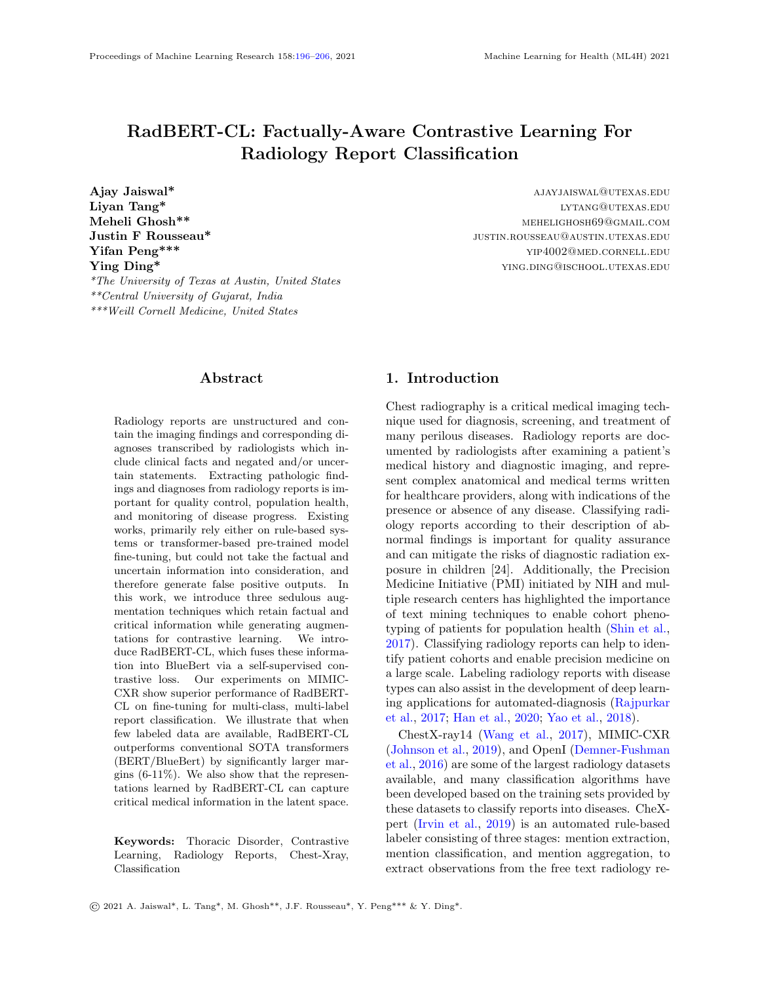# RadBERT-CL

<span id="page-7-0"></span>Table 5: Transfer learning performance (F1-score) of RadBERT-CL, BERT, and BlueBERT when few labeled data is available. Fine-Tuning is done using randomly selected 400 reports and F1-score is reported on the remaining 287 reports of 687 high-quality manually annotated reports. Reported results are the mean F1-score of the 10 random training experiments and rounded to 3 decimal places. We identify significant improvements by RadBERT-CL in both Linear Evaluation setting (freeze encoder f(.) parameters and train the classifier layer), and Full-network Evaluation setting (train encoder f(.) and classifier layer end-to-end).

| Model                                              |                   | Linear Evaluation Full-Network Evaluation |
|----------------------------------------------------|-------------------|-------------------------------------------|
| BERT-uncased                                       | $0.137 \pm 0.012$ | $0.477 \pm 0.009$                         |
| BlueBERT-uncased                                   | $0.153 \pm 0.005$ | $0.480 \pm 0.007$                         |
| Algorithm 3 RadBERT-CL                             | $0.258 \pm 0.015$ | $0.543 \pm 0.021$                         |
| (pre-trained using 687 test reports)               |                   |                                           |
| Algorithm 3 RadBERT-CL                             | $0.282 \pm 0.011$ | $0.591 \pm 0.019$                         |
| (pre-trained using Full MIMIC-CXR unlabelled data) |                   |                                           |

and non-linear projection head  $g(.)$  to generate two 768-dimensional vectors  $z_i = g(f(view1))$  and  $z_i =$  $g(f(view2))$ . RadBERT-CL is pre-trained by maximizing the agreement between  $z_i$  and  $z_j$  using the contrastive loss similar to normalized temperature scaled cross-entropy loss (NT-Xent) [\(Chen et al.,](#page-9-4) [2020a\)](#page-9-4) defined as:

$$
L_{(i,j)} = -\log \frac{\exp\left(\operatorname{sim}\left(z_i, z_j\right) / \tau\right)}{\sum_{k=1, k \neq i}^{num} \exp\left(\operatorname{sim}\left(z_i, z_k\right) / \tau\right)},\quad(1)
$$

$$
L_{Contrastive} = \sum_{k=1}^{batch-size} L_{(i,j)} \tag{2}
$$

where  $\tau$  is a temperature parameter, and num is the number of negative views. We calculate the loss for each sample in our mini-batch and sum them to estimate  $L_{Contrastive}$ . We calculate the gradient  $\nabla L_{contrastive}$  and back-propagate it to update our encoder  $f(.)$  and  $g(.)$ . Contrastive learning benefits from training for larger epochs [\(He et al.,](#page-9-5) [2020;](#page-9-5) [Chen et al.,](#page-9-4) [2020a;](#page-9-4) [Grill et al.,](#page-9-7) [2020\)](#page-9-7), so we trained RadBERT-CL for 100 epochs using SGD optimizer. Note that after pre-training, we discard the project head  $q(.)$  and only use our encoder  $f(.)$  for fine-tuing on downstream task.

## 3.6. Supervised Fine-Tuning

In order to use the pre-trained RadBERT-CL model for our downstream task of report classification, we further fine-tune  $f(.)$  on the pseudo-labels of radiology report classification task as shown in Figure [1\(](#page-3-0)b). Our disease is multi-class classification problem and We use cross-entropy loss as our supervised classification loss, defined as:

$$
L_{l,k}^i = \sum_l \sum_k y_{l,k}^i \times \log(\tilde{y}_{l,k}^i)
$$
 (3)

$$
L_{classification} = \sum_{i=1}^{batch-size} L_{l,k}^{i}
$$
 (4)

where, i denotes  $i - th$  training example, l denotes class label (Edema, Cardiomegaly, etc.),  $k \in$ {Positive, Negative, Uncertain, Blank}. We calculate the gradient  $\nabla L_{classification}$  and back-propagate it to update our encoder  $f(.)$ .

# 4. Evaluation and Results

#### 4.1. Evaluation

Following [\(Smit et al.,](#page-10-5) [2020\)](#page-10-5), we evaluate our system based on its average performance on three retrieval tasks: positive extraction, negative extraction, and uncertainty extraction. For each of the 14 observations, we compute a weighted average of the F1 scores on each of the above three tasks, weighted by the support for each class of interest, which we call the weighted-F1 metric. Table [4](#page-6-0) presents the weighted-F1 score of RadBERT-CL using our three different variants of contrastive learning and their comparisons with SOTA methods. We have also presented the detailed evaluation score of our best RadBERT-CL variant (Algorithm [3\)](#page-5-1) for all three retrieval tasks in Appendix Table [9.](#page-12-1)

To demonstrate the effectiveness of RadBERT-CL performance when only a few labeled data is available, we evaluated RadBERT-CL performance in two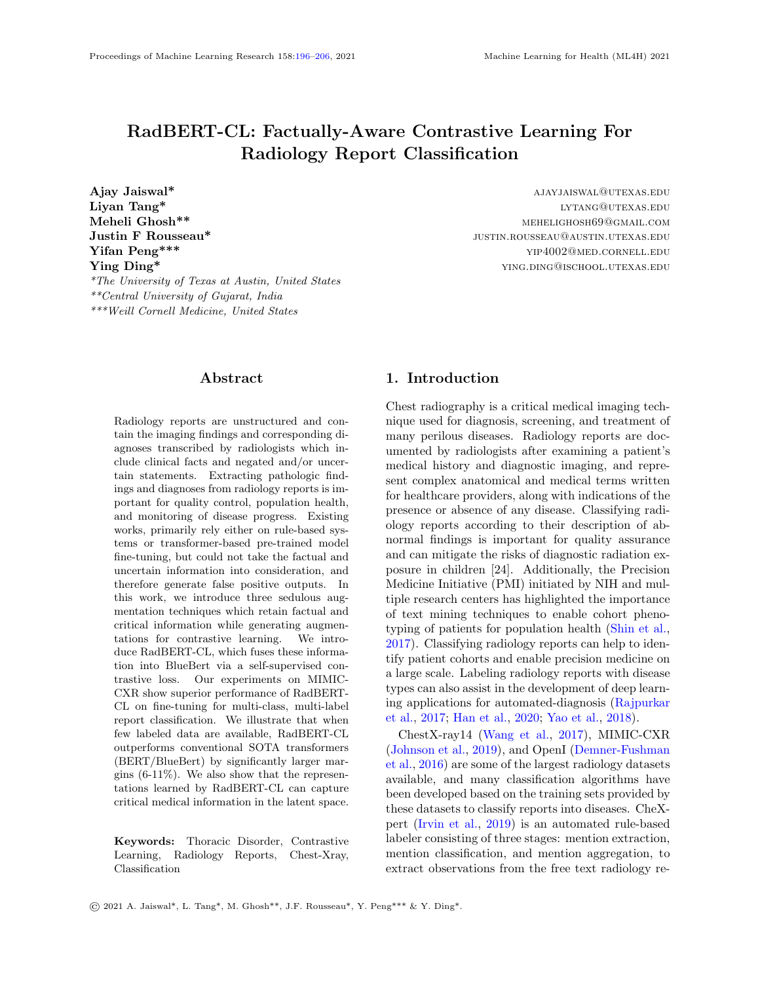<span id="page-8-0"></span>Table 6: Cosine Similarity between the normalized-[CLS] embeddings of report snippets generated by RadBERT-CL after contrastive pre-training. Our RadBERT-CL embeddings are capable of distinguishing between the factual nuances of medical reports which cannot be captured by the embeddings generated by BERT, and BlueBert. Our model is able to capture fine-grained differences among diseases, negation, and uncertainty in the latent representations.

| <b>Report Segment</b>                                      |        | <b>BERT</b> BlueBert | Algorithm 3<br>RadBERT-CL |
|------------------------------------------------------------|--------|----------------------|---------------------------|
| definite focal consolidation is seen in left side of lungs | 0.9411 | 0.9223               | $-0.8266$                 |
| the lungs are clear of any focal consolidation             |        |                      |                           |
| subtle opacity at the right base could represent infection | 0.9120 | 0.9038               | 0.4332                    |
| patchy left base opacity represent severe infection        |        |                      |                           |
| $\ldots$ pleural effusion is observed $\ldots$             | 0.9752 | 0.8931               | 0.3836                    |
| $\ldots$ pleural edema is seen $\ldots$                    |        |                      |                           |

different training scenarios: (a) pre-train RadBERT-CL using Algorithm 3 on 687 high-quality annotated dataset (no manually annotated label is used), finetune on randomly selected 400 high-quality annotated dataset, and test it on remaining 287 highquality annotated dataset. (b) pre-train RadBERT-CL using Algorithm 3 on entire MIMIC CXR, finetune on randomly selected 400 high-quality annotated dataset, and test it on remaining 287 highquality annotated dataset.

# 4.2. Results

We observe that our RadBERT-CL model pre-trained using Algorithm [3](#page-5-1) outperforms previous state-of-theart model CheXbert in 7 out of 14 findings after finetuning. Table [4](#page-6-0) presents the weighted F1 scores of RadBERT-CL varients and previous SOTA systems CheXpert and CheXbert. Our model variants combined together outperform CheXbert in 11 out of 14 findings. Note that CheXbert training is calibrated under the supervision of  $\sim 1000$  manually annotated reports by radiologists while our system is trained using weakly labeled reports. With the help of the guided-supervision of expert-level annotated data as proposed in CheXbert [\(Smit et al.,](#page-10-5) [2020\)](#page-10-5), we believe that our system will show more significant improvements.

In our analysis using Algorithm [1,](#page-4-1)[2](#page-5-0)[,3,](#page-5-1) we found that RadBERT-CL is very successful in capturing the factual information present in radiology reports. We calculated the cosine similarity between CLS embeddings generated by two factually different report snippets as shown in Table [6,](#page-8-0) by BERT, BlueBert and RadBERT-CL. RadBERT-CL is able to distinguish between the factual nuances of medical reports

which are not captured in the representations generated by BERT and BlueBert.

While deep learning methods often require expertannotated high-quality data for training, getting sufficiently annotated data in the medical domain is very costly due to the limited availability of human experts. However, we have enough unlabelled data which can be used to improve our DL models with the supervision of few high-quality annotated data. Table [5](#page-7-0) illustrates our RadBERT-CL performance in such scenario. Clearly, our model outperforms conventional fine-tuning using BERT/BlueBert for the classification task, by huge margins of 0.06 to 0.11 on weighted F1-metric. Better performance in Linear evaluation settings indicates that the representations learned by RadBERT-CL in pre-training stage are significantly better than BERT/BlueBert. Our experiments confirm that using largely available unsupervised data to pre-train transformers using contrastive learning provide significant improvement in fine-tuning tasks when few labelled data is available.

# 5. Conclusion

In this work, we present novel data augmentation techniques for contrastive learning to capture factual nuances of medical domain. Our method involves pre-training transformers using abundance of unsupervised data to capture fine-grained domain knowledge before fine-tuning it for downstream tasks such as disease classification. We further show that such training strategy improves the performance in downstream tasks significantly in limited data settings. We hope that this work can draw community attention towards the ability of contrastive learning to capture discriminative properties in the medical domain.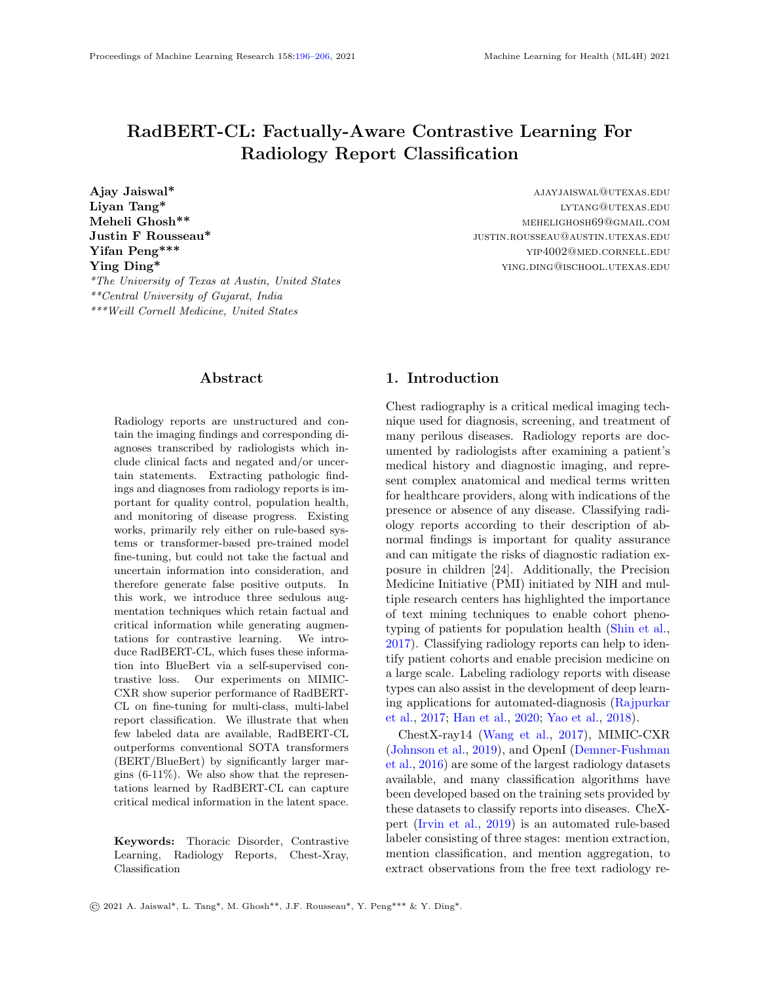# References

- <span id="page-9-16"></span>Chaomei Chen, Min Song, and Go Eun Heo. A scalable and adaptive method for finding semantically equivalent cue words of uncertainty. Journal of Informetrics, 12, Feb 2018. ISSN 1751-1577. doi: 10.1016/j.joi.2017.12.004.
- <span id="page-9-4"></span>Ting Chen, Simon Kornblith, Mohammad Norouzi, and Geoffrey Hinton. A simple framework for contrastive learning of visual representations, 2020a.
- <span id="page-9-6"></span>Xinlei Chen, Haoqi Fan, Ross Girshick, and Kaiming He. Improved baselines with momentum contrastive learning, 2020b.
- <span id="page-9-2"></span>Dina Demner-Fushman, M. Kohli, M. Rosenman, S. E. Shooshan, Laritza Rodriguez, S. Antani, G. Thoma, and C. McDonald. Preparing a collection of radiology examinations for distribution and retrieval. Journal of the American Medical Informatics Association : JAMIA, 23 2:304–10, 2016.
- <span id="page-9-8"></span>Jacob Devlin, Ming-Wei Chang, Kenton Lee, and Kristina Toutanova. Bert: Pre-training of deep bidirectional transformers for language understanding, 2019.
- <span id="page-9-11"></span>Tobias Falke, Leonardo F. R. Ribeiro, Prasetya Ajie Utama, Ido Dagan, and Iryna Gurevych. Ranking generated summaries by correctness: An interesting but challenging application for natural language inference. In Proceedings of the 57th Annual Meeting of the Association for Computational Linguistics. Association for Computational Linguistics, 2019. doi: 10.18653/v1/p19-1213. URL <https://doi.org/10.18653/v1/p19-1213>.
- <span id="page-9-10"></span>Hongchao Fang and Pengtao Xie. Cert: Contrastive self-supervised learning for language understanding. CoRR, abs/2005.12766, 2020. URL [https:](https://arxiv.org/abs/2005.12766) [//arxiv.org/abs/2005.12766](https://arxiv.org/abs/2005.12766).
- <span id="page-9-13"></span>Hongchao Fang, Sicheng Wang, Meng Zhou, Jiayuan Ding, and Pengtao Xie. Cert: Contrastive selfsupervised learning for language understanding, 2020.
- <span id="page-9-12"></span>Tanya Goyal and Greg Durrett. Evaluating factuality in generation with dependency-level entailment. In Findings of the Association for Computational Linguistics: EMNLP 2020. Association for Computational Linguistics, 2020. doi:  $10.18653/v1/$ 2020.findings-emnlp.322. URL [https://doi.org/](https://doi.org/10.18653/v1/2020.findings-emnlp.322) [10.18653/v1/2020.findings-emnlp.322](https://doi.org/10.18653/v1/2020.findings-emnlp.322).
- <span id="page-9-7"></span>Jean-Bastien Grill, Florian Strub, Florent Altché, Corentin Tallec, Pierre H Richemond, Elena Buchatskaya, Carl Doersch, Bernardo Avila Pires, Zhaohan Daniel Guo, Mohammad Gheshlaghi Azar, et al. Bootstrap your own latent: A new approach to self-supervised learning. arXiv preprint arXiv:2006.07733, 2020.
- <span id="page-9-0"></span>Yan Han, Chongyan Chen, Liyan Tang, Mingquan Lin, Ajay Jaiswal, Song Wang, Ahmed Tewfik, George Shih, Ying Ding, and Yifan Peng. Using radiomics as prior knowledge for thorax disease classification and localization in chest x-rays. arXiv preprint arXiv:2011.12506, 2020.
- <span id="page-9-5"></span>Kaiming He, Haoqi Fan, Yuxin Wu, Saining Xie, and Ross Girshick. Momentum contrast for unsupervised visual representation learning, 2020.
- <span id="page-9-3"></span>Jeremy Irvin, Pranav Rajpurkar, Michael Ko, Yifan Yu, Silviana Ciurea-Ilcus, Chris Chute, Henrik Marklund, Behzad Haghgoo, Robyn Ball, Katie Shpanskaya, Jayne Seekins, David A. Mong, Safwan S. Halabi, Jesse K. Sandberg, Ricky Jones, David B. Larson, Curtis P. Langlotz, Bhavik N. Patel, Matthew P. Lungren, and Andrew Y. Ng. Chexpert: A large chest radiograph dataset with uncertainty labels and expert comparison, 2019.
- <span id="page-9-1"></span>Alistair E. W. Johnson, Tom J. Pollard, Nathaniel R. Greenbaum, Matthew P. Lungren, Chih ying Deng, Yifan Peng, Zhiyong Lu, Roger G. Mark, Seth J. Berkowitz, and Steven Horng. Mimic-cxr-jpg, a large publicly available database of labeled chest radiographs, 2019.
- <span id="page-9-15"></span>C. Langlotz. Radlex: a new method for indexing online educational materials. Radiographics : a review publication of the Radiological Society of North America, Inc, 26 6:1595–7, 2006.
- <span id="page-9-9"></span>Yifan Peng, Shankai Yan, and Zhiyong Lu. Transfer learning in biomedical natural language processing: An evaluation of bert and elmo on ten benchmarking datasets, 2019.
- <span id="page-9-14"></span>Mayank Raj, Ajay Jaiswal, RR Rohit, Ankita Gupta, Sudeep Kumar Sahoo, Vertika Srivastava, and Yeon Hyang Kim. Solomon at semeval-2020 task 11: Ensemble architecture for fine-tuned propaganda detection in news articles. In Proceedings of the Fourteenth Workshop on Semantic Evaluation, pages 1802–1807, 2020.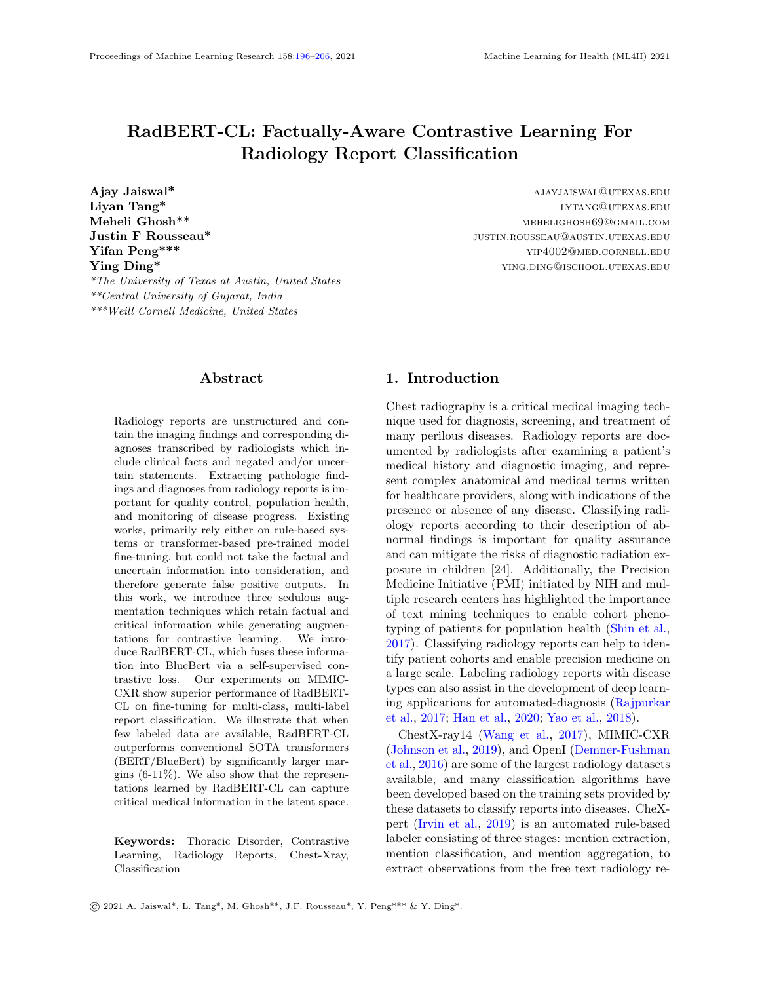- <span id="page-10-2"></span>Pranav Rajpurkar, Jeremy Irvin, Kaylie Zhu, Brandon Yang, Hershel Mehta, Tony Duan, Daisy Ding, Aarti Bagul, Curtis Langlotz, Katie Shpanskaya, Matthew P. Lungren, and Andrew Y. Ng. Chexnet: Radiologist-level pneumonia detection on chest xrays with deep learning, 2017.
- <span id="page-10-6"></span>Joshua Robinson, Ching-Yao Chuang, Suvrit Sra, and Stefanie Jegelka. Contrastive learning with hard negative samples. arXiv preprint arXiv:2010.04592, 2020.
- <span id="page-10-1"></span>Bonggun Shin, F. Chokshi, Timothy Lee, and Jinho D. Choi. Classification of radiology reports using neural attention models. 2017 International Joint Conference on Neural Networks (IJCNN), pages 4363–4370, 2017.
- <span id="page-10-5"></span>Akshay Smit, Saahil Jain, Pranav Rajpurkar, Anuj Pareek, Andrew Y. Ng, and Matthew P. Lungren. Chexbert: Combining automatic labelers and expert annotations for accurate radiology report labeling using bert, 2020.
- <span id="page-10-4"></span>Xiaosong Wang, Yifan Peng, Le Lu, Zhiyong Lu, Mohammadhadi Bagheri, and Ronald M. Summers. Chestx-ray8: Hospital-scale chest x-ray database and benchmarks on weakly-supervised classification and localization of common thorax diseases. 2017 IEEE Conference on Computer Vision and Pattern Recognition (CVPR), Jul 2017. doi: 10. 1109/cvpr.2017.369. URL [http://dx.doi.org/](http://dx.doi.org/10.1109/CVPR.2017.369) [10.1109/CVPR.2017.369](http://dx.doi.org/10.1109/CVPR.2017.369).
- <span id="page-10-9"></span>Zhuofeng Wu, Sinong Wang, Jiatao Gu, Madian Khabsa, Fei Sun, and Hao Ma. Clear: Contrastive learning for sentence representation, 12 2020a.
- <span id="page-10-12"></span>Zhuofeng Wu, Sinong Wang, Jiatao Gu, Madian Khabsa, Fei Sun, and Hao Ma. Clear: Contrastive learning for sentence representation, 2020b.
- <span id="page-10-3"></span>Li Yao, Eric Poblenz, Dmitry Dagunts, Ben Covington, Devon Bernard, and Kevin Lyman. Learning to diagnose from scratch by exploiting dependencies among labels, 2018.
- <span id="page-10-7"></span>Yixiao Zhang, Xiaosong Wang, Ziyue Xu, Qihang Yu, Alan Yuille, and Daguang Xu. When radiology report generation meets knowledge graph, 2020a.
- <span id="page-10-10"></span>Yuhao Zhang, Derek Merck, Emily Tsai, Christopher D. Manning, and Curtis Langlotz. Optimizing the factual correctness of a summary: A

study of summarizing radiology reports. In Proceedings of the 58th Annual Meeting of the Association for *Computational Linguistics*. Association for Computational Linguistics, 2020b. doi: 10.18653/v1/2020.acl-main.458. URL [https://](https://doi.org/10.18653/v1/2020.acl-main.458) [doi.org/10.18653/v1/2020.acl-main.458](https://doi.org/10.18653/v1/2020.acl-main.458).

- <span id="page-10-8"></span>Yuhao Zhang, Derek Merck, Emily Bao Tsai, Christopher D. Manning, and Curtis P. Langlotz. Optimizing the factual correctness of a summary: A study of summarizing radiology reports, 2020c.
- <span id="page-10-11"></span>Chenguang Zhu, William Hinthorn, Ruochen Xu, Qingkai Zeng, Michael Zeng, Xuedong Huang, and Meng Jiang. Enhancing factual consistency of abstractive summarization. North American Chapter of the Association for Computational Linguistics (NAACL) 2021, June 2021.

# 6. Appendix

| Hyperparameter   | Pretraining | Finetuning  |
|------------------|-------------|-------------|
| batch-size       | 128         | 32          |
| learning-rate    | 0.1         | $2e-5$      |
| optimizer        | SGD         | Adam        |
| temperature (CL) | 0.4         |             |
| n_epochs         | 100         | 10          |
| beta             |             | [0.9, 0.99] |
| Aug. Probability | 02          |             |

<span id="page-10-0"></span>Table 7: Training details for RadBERT-CL Pretraining and Finetuning Stages.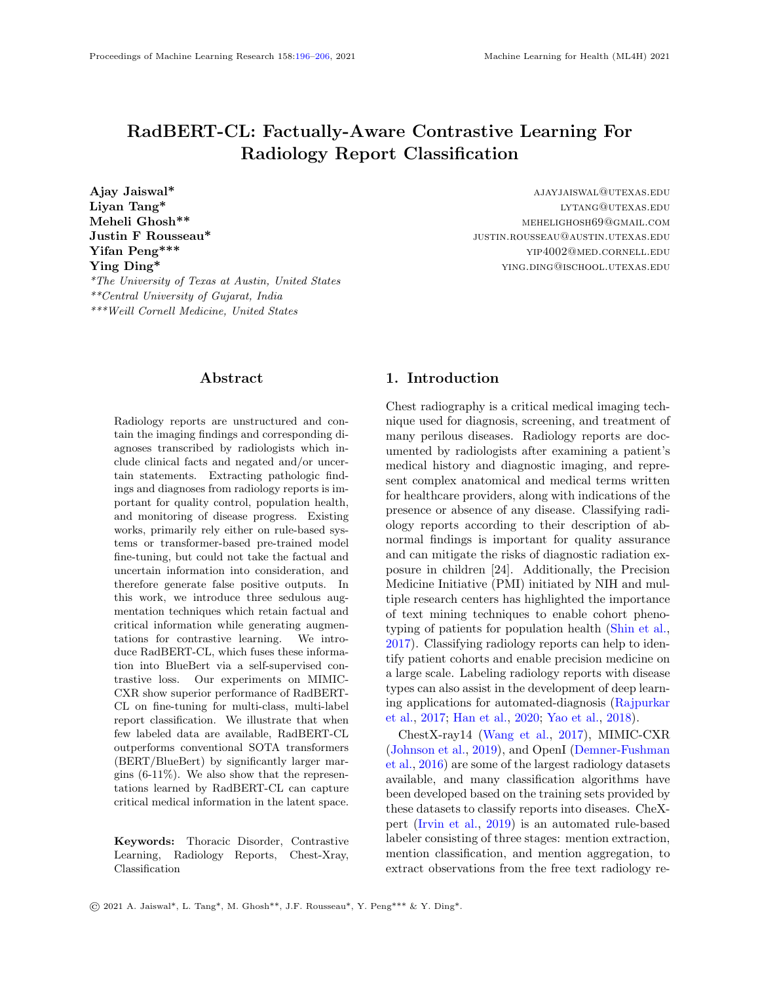

Figure 2: t-SNE visualization of BlueBert and RadBERT-CL(Algorithm [3\)](#page-5-1) for radiology reports annotated positive for three major diseases (Cardiomegaly, Pneumonia, and Atelectasis). Note that the reports used for generating the t-SNE plot are sampled from 687 radiologists annotated test set which are not used in RadBERT-CL pre-training. From the figure, it is evident that embeddings generated after pre-training RadBERT-CL with contrastive learning, is more informative compared to BlueBert on unseen data.

Report Snippet: ... apparent new small right pleural edema manifested by posterior blunting of right costophrenic sulcus ...

# Prediction: Pleural Other Ground Truth: Edema

**Reasoning:** the presence of *pleural* keyword along with edema may have confused the model to classify it as Pleural Other.

Report Snippet: ... new area of pleural abnormality has developed in right side of lungs, and the heart and mediastinal structures and bony structures remain normal in appearance ...

## Prediction: Pleural Effusion

# Ground Truth: Pleural Other

Reasoning: we found in reports that many pleural disorders share similar context which possibly make it difficult to classify them correctly. This can also explain the low F1-score of Pleural Other category.

Report Snippet: ... mild interstitial edema and small right pleural effusion are new since  $\ldots$  ...

# Prediction: Pleural Effusion

# Ground Truth: Pleural Effusion, Edema

Reasoning: the model misses to identify edema and only identified Pleural Effusion possibly because majority of times, edema is mentioned as Pleural Edema in reports.

Table 8: Examples where RadBERT-CL incorrectly assign or misses label while making prediction. We include speculative reasoning for the classification errors.